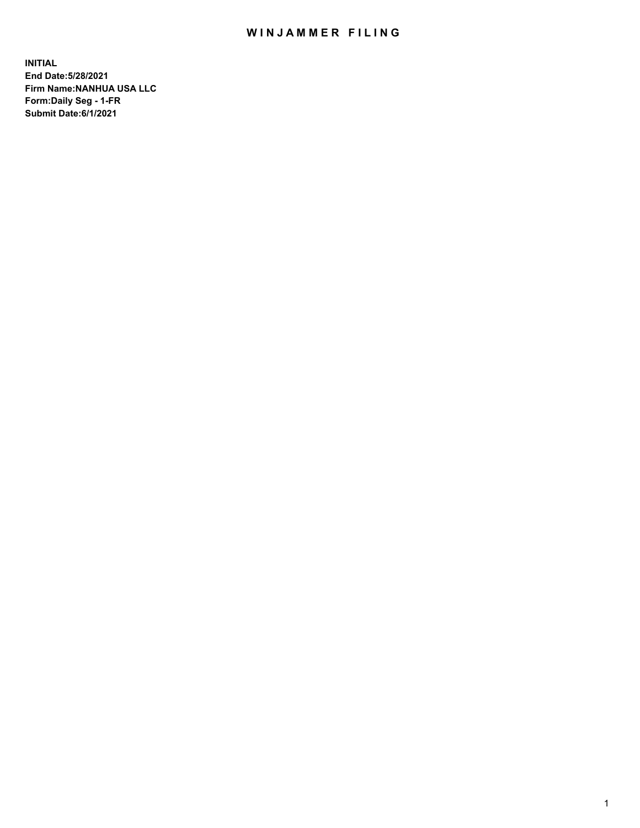## WIN JAMMER FILING

**INITIAL End Date:5/28/2021 Firm Name:NANHUA USA LLC Form:Daily Seg - 1-FR Submit Date:6/1/2021**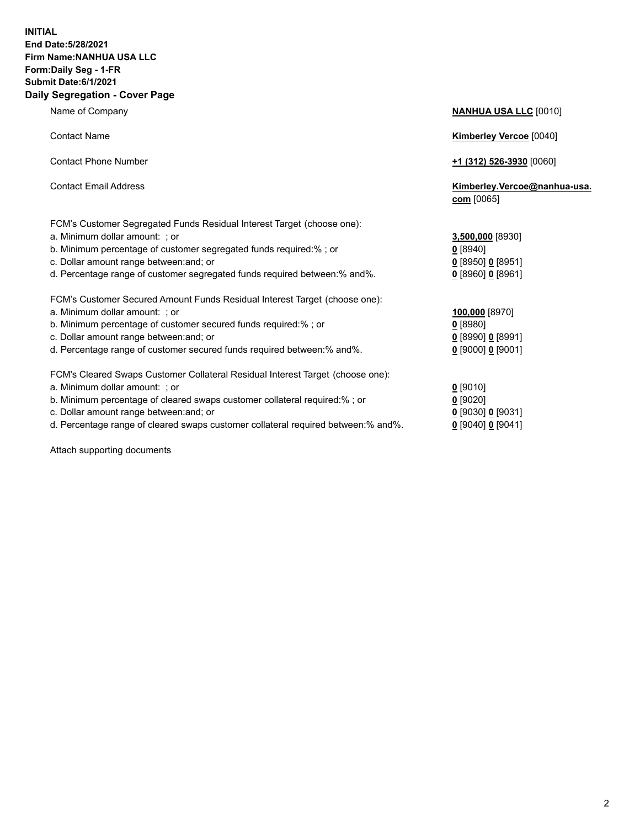## **INITIAL End Date:5/28/2021 Firm Name:NANHUA USA LLC Form:Daily Seg - 1-FR Submit Date:6/1/2021 Daily Segregation - Cover Page**

| Name of Company                                                                                                                                                                                                                                                                                         | <b>NANHUA USA LLC [0010]</b>                                                 |
|---------------------------------------------------------------------------------------------------------------------------------------------------------------------------------------------------------------------------------------------------------------------------------------------------------|------------------------------------------------------------------------------|
| <b>Contact Name</b>                                                                                                                                                                                                                                                                                     | <b>Kimberley Vercoe [0040]</b>                                               |
| <b>Contact Phone Number</b>                                                                                                                                                                                                                                                                             | <u>+1 (312) 526-3930</u> [0060]                                              |
| <b>Contact Email Address</b>                                                                                                                                                                                                                                                                            | Kimberley.Vercoe@nanhua-usa.<br>com [0065]                                   |
| FCM's Customer Segregated Funds Residual Interest Target (choose one):<br>a. Minimum dollar amount: ; or<br>b. Minimum percentage of customer segregated funds required:%; or<br>c. Dollar amount range between: and; or<br>d. Percentage range of customer segregated funds required between: % and %. | 3,500,000 [8930]<br>0 [8940]<br>$0$ [8950] 0 [8951]<br>$0$ [8960] $0$ [8961] |
| FCM's Customer Secured Amount Funds Residual Interest Target (choose one):<br>a. Minimum dollar amount: ; or<br>b. Minimum percentage of customer secured funds required:% ; or<br>c. Dollar amount range between: and; or<br>d. Percentage range of customer secured funds required between:% and%.    | 100,000 [8970]<br>$0$ [8980]<br>0 [8990] 0 [8991]<br>$0$ [9000] 0 [9001]     |
| FCM's Cleared Swaps Customer Collateral Residual Interest Target (choose one):<br>a. Minimum dollar amount: ; or<br>b. Minimum percentage of cleared swaps customer collateral required:%; or                                                                                                           | $0$ [9010]<br>$0$ [9020]                                                     |

- 
- c. Dollar amount range between:and; or **0** [9030] **0** [9031] d. Percentage range of cleared swaps customer collateral required between:% and%.

Attach supporting documents

| <u>l</u> [9010]                 |
|---------------------------------|
| <u>)</u> [9020]                 |
| <u>0</u> [9030] <u>0</u> [9031] |
| ) [9040] <b>0</b> [9041]        |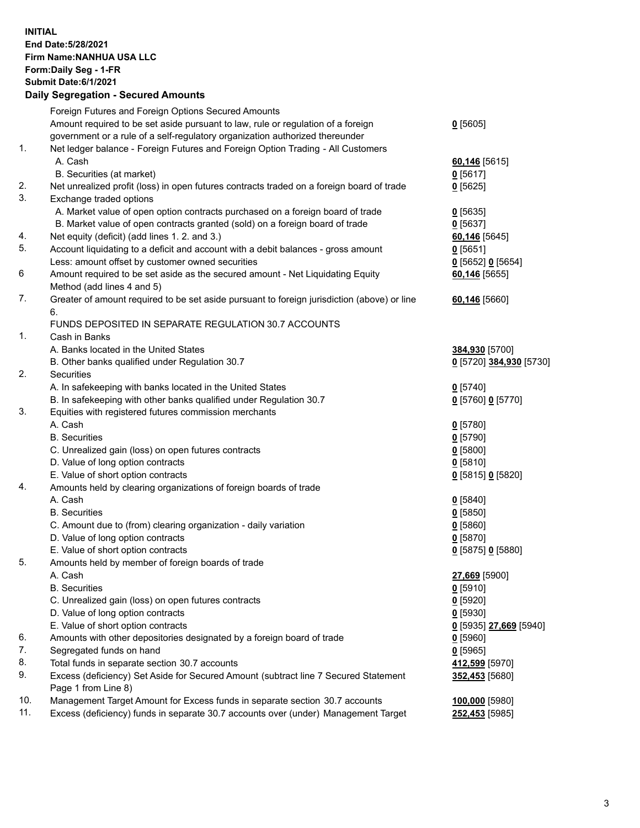**INITIAL End Date:5/28/2021 Firm Name:NANHUA USA LLC Form:Daily Seg - 1-FR Submit Date:6/1/2021 Daily Segregation - Secured Amounts**

|                | Foreign Futures and Foreign Options Secured Amounts                                         |                         |
|----------------|---------------------------------------------------------------------------------------------|-------------------------|
|                | Amount required to be set aside pursuant to law, rule or regulation of a foreign            | $0$ [5605]              |
|                | government or a rule of a self-regulatory organization authorized thereunder                |                         |
| $\mathbf{1}$ . | Net ledger balance - Foreign Futures and Foreign Option Trading - All Customers             |                         |
|                | A. Cash                                                                                     | 60,146 [5615]           |
|                | B. Securities (at market)                                                                   | $0$ [5617]              |
| 2.             | Net unrealized profit (loss) in open futures contracts traded on a foreign board of trade   | $0$ [5625]              |
| 3.             | Exchange traded options                                                                     |                         |
|                | A. Market value of open option contracts purchased on a foreign board of trade              | $0$ [5635]              |
|                | B. Market value of open contracts granted (sold) on a foreign board of trade                | $0$ [5637]              |
| 4.             | Net equity (deficit) (add lines 1. 2. and 3.)                                               | 60,146 [5645]           |
| 5.             | Account liquidating to a deficit and account with a debit balances - gross amount           | 0[5651]                 |
|                | Less: amount offset by customer owned securities                                            | $0$ [5652] $0$ [5654]   |
| 6              | Amount required to be set aside as the secured amount - Net Liquidating Equity              | 60,146 [5655]           |
|                | Method (add lines 4 and 5)                                                                  |                         |
| 7.             | Greater of amount required to be set aside pursuant to foreign jurisdiction (above) or line | 60,146 [5660]           |
|                | 6.                                                                                          |                         |
|                | FUNDS DEPOSITED IN SEPARATE REGULATION 30.7 ACCOUNTS                                        |                         |
| 1.             | Cash in Banks                                                                               |                         |
|                | A. Banks located in the United States                                                       | 384,930 [5700]          |
|                | B. Other banks qualified under Regulation 30.7                                              | 0 [5720] 384,930 [5730] |
| 2.             | Securities                                                                                  |                         |
|                | A. In safekeeping with banks located in the United States                                   | $0$ [5740]              |
|                | B. In safekeeping with other banks qualified under Regulation 30.7                          | 0 [5760] 0 [5770]       |
| 3.             | Equities with registered futures commission merchants                                       |                         |
|                | A. Cash                                                                                     | $0$ [5780]              |
|                | <b>B.</b> Securities                                                                        | $0$ [5790]              |
|                | C. Unrealized gain (loss) on open futures contracts                                         | $0$ [5800]              |
|                | D. Value of long option contracts                                                           | $0$ [5810]              |
|                | E. Value of short option contracts                                                          | 0 [5815] 0 [5820]       |
| 4.             | Amounts held by clearing organizations of foreign boards of trade                           |                         |
|                | A. Cash                                                                                     | $0$ [5840]              |
|                | <b>B.</b> Securities                                                                        | $0$ [5850]              |
|                | C. Amount due to (from) clearing organization - daily variation                             | $0$ [5860]              |
|                | D. Value of long option contracts                                                           | $0$ [5870]              |
|                | E. Value of short option contracts                                                          | $0$ [5875] 0 [5880]     |
| 5.             | Amounts held by member of foreign boards of trade                                           |                         |
|                | A. Cash                                                                                     | 27,669 [5900]           |
|                | <b>B.</b> Securities                                                                        | $0$ [5910]              |
|                | C. Unrealized gain (loss) on open futures contracts                                         | $0$ [5920]              |
|                | D. Value of long option contracts                                                           | $0$ [5930]              |
|                | E. Value of short option contracts                                                          | 0 [5935] 27,669 [5940]  |
| 6.             | Amounts with other depositories designated by a foreign board of trade                      | $0$ [5960]              |
| 7.             | Segregated funds on hand                                                                    | $0$ [5965]              |
| 8.             | Total funds in separate section 30.7 accounts                                               | 412,599 [5970]          |
| 9.             | Excess (deficiency) Set Aside for Secured Amount (subtract line 7 Secured Statement         | 352,453 [5680]          |
|                | Page 1 from Line 8)                                                                         |                         |
| 10.            | Management Target Amount for Excess funds in separate section 30.7 accounts                 | 100,000 [5980]          |
| 11.            | Excess (deficiency) funds in separate 30.7 accounts over (under) Management Target          | 252,453 [5985]          |
|                |                                                                                             |                         |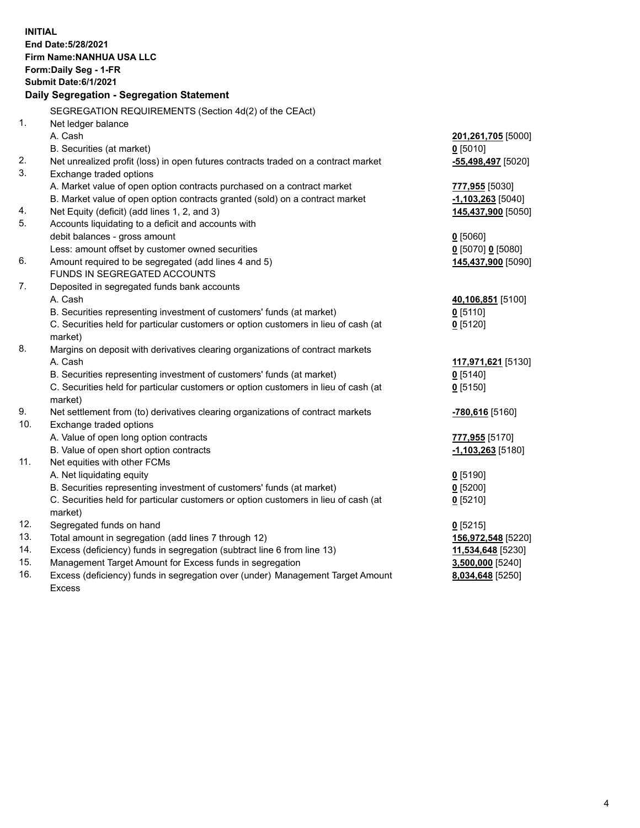| <b>INITIAL</b> | End Date: 5/28/2021<br>Firm Name: NANHUA USA LLC<br>Form: Daily Seg - 1-FR<br><b>Submit Date:6/1/2021</b> |                                         |
|----------------|-----------------------------------------------------------------------------------------------------------|-----------------------------------------|
|                | Daily Segregation - Segregation Statement                                                                 |                                         |
|                | SEGREGATION REQUIREMENTS (Section 4d(2) of the CEAct)                                                     |                                         |
| 1 <sub>1</sub> | Net ledger balance                                                                                        |                                         |
|                | A. Cash                                                                                                   | 201,261,705 [5000]                      |
|                | B. Securities (at market)                                                                                 | $0$ [5010]                              |
| 2.             | Net unrealized profit (loss) in open futures contracts traded on a contract market                        | -55,498,497 [5020]                      |
| 3.             | Exchange traded options                                                                                   |                                         |
|                | A. Market value of open option contracts purchased on a contract market                                   | 777,955 [5030]                          |
|                | B. Market value of open option contracts granted (sold) on a contract market                              | $-1,103,263$ [5040]                     |
| 4.<br>5.       | Net Equity (deficit) (add lines 1, 2, and 3)                                                              | 145,437,900 [5050]                      |
|                | Accounts liquidating to a deficit and accounts with                                                       |                                         |
|                | debit balances - gross amount<br>Less: amount offset by customer owned securities                         | $0$ [5060]                              |
| 6.             | Amount required to be segregated (add lines 4 and 5)                                                      | 0 [5070] 0 [5080]<br>145,437,900 [5090] |
|                | FUNDS IN SEGREGATED ACCOUNTS                                                                              |                                         |
| 7.             | Deposited in segregated funds bank accounts                                                               |                                         |
|                | A. Cash                                                                                                   | 40,106,851 [5100]                       |
|                | B. Securities representing investment of customers' funds (at market)                                     | $0$ [5110]                              |
|                | C. Securities held for particular customers or option customers in lieu of cash (at                       | $0$ [5120]                              |
|                | market)                                                                                                   |                                         |
| 8.             | Margins on deposit with derivatives clearing organizations of contract markets                            |                                         |
|                | A. Cash                                                                                                   | 117,971,621 [5130]                      |
|                | B. Securities representing investment of customers' funds (at market)                                     | $0$ [5140]                              |
|                | C. Securities held for particular customers or option customers in lieu of cash (at                       | $0$ [5150]                              |
|                | market)                                                                                                   |                                         |
| 9.             | Net settlement from (to) derivatives clearing organizations of contract markets                           | <mark>-780,616</mark> [5160]            |
| 10.            | Exchange traded options                                                                                   |                                         |
|                | A. Value of open long option contracts                                                                    | 777,955 [5170]                          |
|                | B. Value of open short option contracts                                                                   | -1,103,263 [5180]                       |
| 11.            | Net equities with other FCMs                                                                              |                                         |
|                | A. Net liquidating equity                                                                                 | $0$ [5190]                              |
|                | B. Securities representing investment of customers' funds (at market)                                     | $0$ [5200]                              |
|                | C. Securities held for particular customers or option customers in lieu of cash (at                       | $0$ [5210]                              |
|                | market)                                                                                                   |                                         |
| 12.            | Segregated funds on hand                                                                                  | $0$ [5215]                              |
| 13.            | Total amount in segregation (add lines 7 through 12)                                                      | 156,972,548 [5220]                      |
| 14.            | Excess (deficiency) funds in segregation (subtract line 6 from line 13)                                   | 11,534,648 [5230]                       |
| 15.            | Management Target Amount for Excess funds in segregation                                                  | 3,500,000 [5240]                        |
| 16.            | Excess (deficiency) funds in segregation over (under) Management Target Amount                            | 8,034,648 [5250]                        |
|                | <b>Excess</b>                                                                                             |                                         |